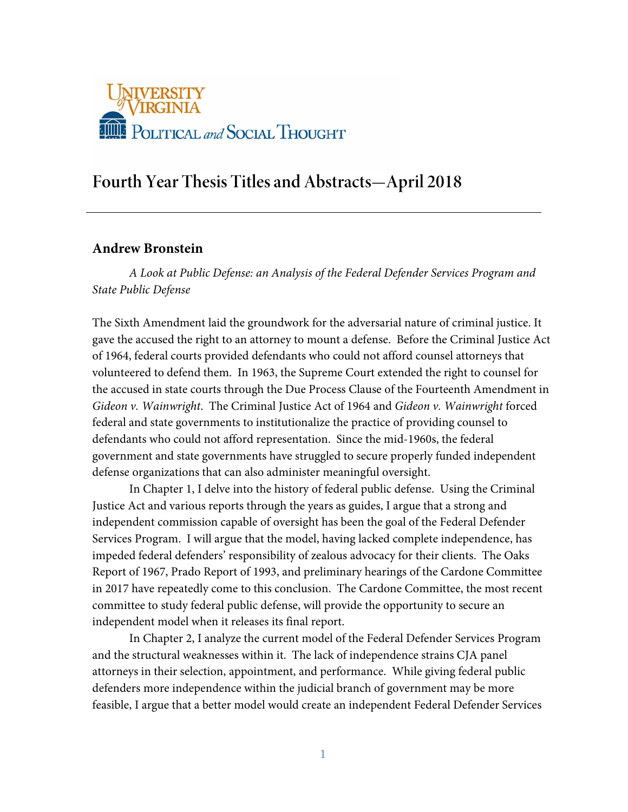

# **Fourth Year Thesis Titles and Abstracts—April 2018**

# **Andrew Bronstein**

*A Look at Public Defense: an Analysis of the Federal Defender Services Program and State Public Defense*

The Sixth Amendment laid the groundwork for the adversarial nature of criminal justice. It gave the accused the right to an attorney to mount a defense. Before the Criminal Justice Act of 1964, federal courts provided defendants who could not afford counsel attorneys that volunteered to defend them. In 1963, the Supreme Court extended the right to counsel for the accused in state courts through the Due Process Clause of the Fourteenth Amendment in *Gideon v. Wainwright*. The Criminal Justice Act of 1964 and *Gideon v. Wainwright* forced federal and state governments to institutionalize the practice of providing counsel to defendants who could not afford representation. Since the mid-1960s, the federal government and state governments have struggled to secure properly funded independent defense organizations that can also administer meaningful oversight.

In Chapter 1, I delve into the history of federal public defense. Using the Criminal Justice Act and various reports through the years as guides, I argue that a strong and independent commission capable of oversight has been the goal of the Federal Defender Services Program. I will argue that the model, having lacked complete independence, has impeded federal defenders' responsibility of zealous advocacy for their clients. The Oaks Report of 1967, Prado Report of 1993, and preliminary hearings of the Cardone Committee in 2017 have repeatedly come to this conclusion. The Cardone Committee, the most recent committee to study federal public defense, will provide the opportunity to secure an independent model when it releases its final report.

In Chapter 2, I analyze the current model of the Federal Defender Services Program and the structural weaknesses within it. The lack of independence strains CJA panel attorneys in their selection, appointment, and performance. While giving federal public defenders more independence within the judicial branch of government may be more feasible, I argue that a better model would create an independent Federal Defender Services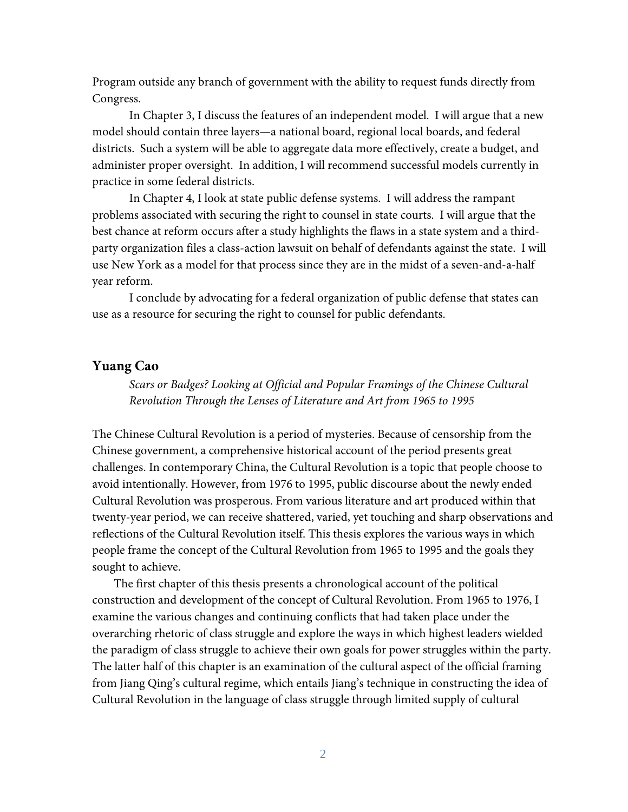Program outside any branch of government with the ability to request funds directly from Congress.

In Chapter 3, I discuss the features of an independent model. I will argue that a new model should contain three layers—a national board, regional local boards, and federal districts. Such a system will be able to aggregate data more effectively, create a budget, and administer proper oversight. In addition, I will recommend successful models currently in practice in some federal districts.

In Chapter 4, I look at state public defense systems. I will address the rampant problems associated with securing the right to counsel in state courts. I will argue that the best chance at reform occurs after a study highlights the flaws in a state system and a thirdparty organization files a class-action lawsuit on behalf of defendants against the state. I will use New York as a model for that process since they are in the midst of a seven-and-a-half year reform.

I conclude by advocating for a federal organization of public defense that states can use as a resource for securing the right to counsel for public defendants.

# **Yuang Cao**

*Scars or Badges? Looking at Official and Popular Framings of the Chinese Cultural Revolution Through the Lenses of Literature and Art from 1965 to 1995*

The Chinese Cultural Revolution is a period of mysteries. Because of censorship from the Chinese government, a comprehensive historical account of the period presents great challenges. In contemporary China, the Cultural Revolution is a topic that people choose to avoid intentionally. However, from 1976 to 1995, public discourse about the newly ended Cultural Revolution was prosperous. From various literature and art produced within that twenty-year period, we can receive shattered, varied, yet touching and sharp observations and reflections of the Cultural Revolution itself. This thesis explores the various ways in which people frame the concept of the Cultural Revolution from 1965 to 1995 and the goals they sought to achieve.

The first chapter of this thesis presents a chronological account of the political construction and development of the concept of Cultural Revolution. From 1965 to 1976, I examine the various changes and continuing conflicts that had taken place under the overarching rhetoric of class struggle and explore the ways in which highest leaders wielded the paradigm of class struggle to achieve their own goals for power struggles within the party. The latter half of this chapter is an examination of the cultural aspect of the official framing from Jiang Qing's cultural regime, which entails Jiang's technique in constructing the idea of Cultural Revolution in the language of class struggle through limited supply of cultural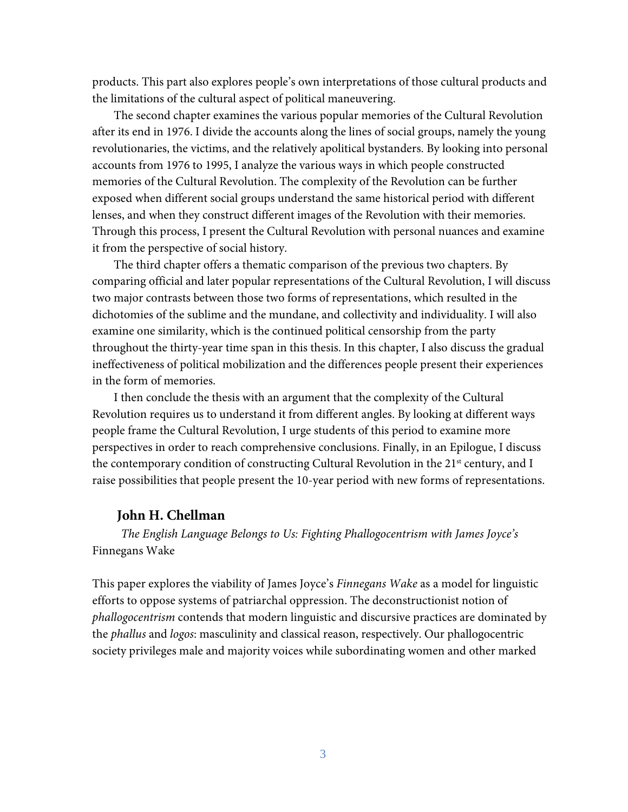products. This part also explores people's own interpretations of those cultural products and the limitations of the cultural aspect of political maneuvering.

The second chapter examines the various popular memories of the Cultural Revolution after its end in 1976. I divide the accounts along the lines of social groups, namely the young revolutionaries, the victims, and the relatively apolitical bystanders. By looking into personal accounts from 1976 to 1995, I analyze the various ways in which people constructed memories of the Cultural Revolution. The complexity of the Revolution can be further exposed when different social groups understand the same historical period with different lenses, and when they construct different images of the Revolution with their memories. Through this process, I present the Cultural Revolution with personal nuances and examine it from the perspective of social history.

The third chapter offers a thematic comparison of the previous two chapters. By comparing official and later popular representations of the Cultural Revolution, I will discuss two major contrasts between those two forms of representations, which resulted in the dichotomies of the sublime and the mundane, and collectivity and individuality. I will also examine one similarity, which is the continued political censorship from the party throughout the thirty-year time span in this thesis. In this chapter, I also discuss the gradual ineffectiveness of political mobilization and the differences people present their experiences in the form of memories.

I then conclude the thesis with an argument that the complexity of the Cultural Revolution requires us to understand it from different angles. By looking at different ways people frame the Cultural Revolution, I urge students of this period to examine more perspectives in order to reach comprehensive conclusions. Finally, in an Epilogue, I discuss the contemporary condition of constructing Cultural Revolution in the 21<sup>st</sup> century, and I raise possibilities that people present the 10-year period with new forms of representations.

# **John H. Chellman**

*The English Language Belongs to Us: Fighting Phallogocentrism with James Joyce's*  Finnegans Wake

This paper explores the viability of James Joyce's *Finnegans Wake* as a model for linguistic efforts to oppose systems of patriarchal oppression. The deconstructionist notion of *phallogocentrism* contends that modern linguistic and discursive practices are dominated by the *phallus* and *logos*: masculinity and classical reason, respectively. Our phallogocentric society privileges male and majority voices while subordinating women and other marked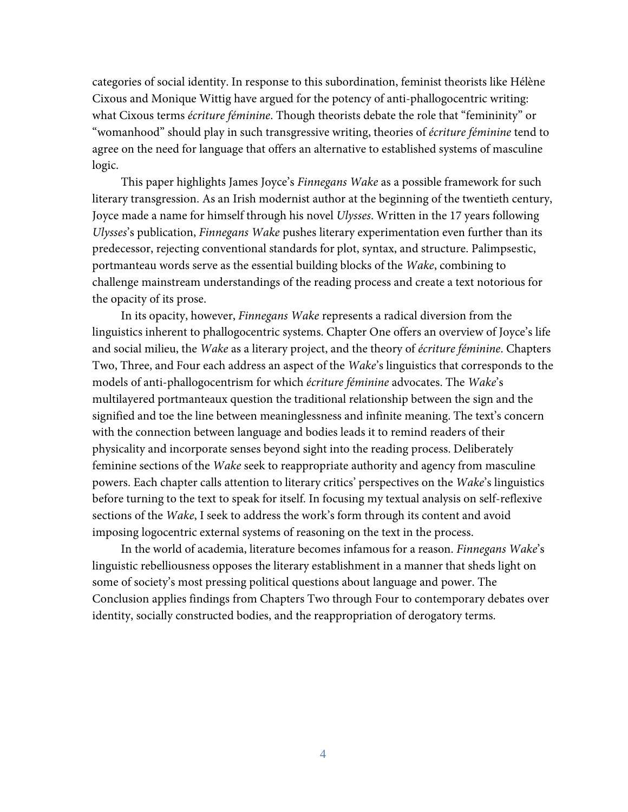categories of social identity. In response to this subordination, feminist theorists like Hélène Cixous and Monique Wittig have argued for the potency of anti-phallogocentric writing: what Cixous terms *écriture féminine*. Though theorists debate the role that "femininity" or "womanhood" should play in such transgressive writing, theories of *écriture féminine* tend to agree on the need for language that offers an alternative to established systems of masculine logic.

This paper highlights James Joyce's *Finnegans Wake* as a possible framework for such literary transgression. As an Irish modernist author at the beginning of the twentieth century, Joyce made a name for himself through his novel *Ulysses*. Written in the 17 years following *Ulysses*'s publication, *Finnegans Wake* pushes literary experimentation even further than its predecessor, rejecting conventional standards for plot, syntax, and structure. Palimpsestic, portmanteau words serve as the essential building blocks of the *Wake*, combining to challenge mainstream understandings of the reading process and create a text notorious for the opacity of its prose.

In its opacity, however, *Finnegans Wake* represents a radical diversion from the linguistics inherent to phallogocentric systems. Chapter One offers an overview of Joyce's life and social milieu, the *Wake* as a literary project, and the theory of *écriture féminine*. Chapters Two, Three, and Four each address an aspect of the *Wake*'s linguistics that corresponds to the models of anti-phallogocentrism for which *écriture féminine* advocates. The *Wake*'s multilayered portmanteaux question the traditional relationship between the sign and the signified and toe the line between meaninglessness and infinite meaning. The text's concern with the connection between language and bodies leads it to remind readers of their physicality and incorporate senses beyond sight into the reading process. Deliberately feminine sections of the *Wake* seek to reappropriate authority and agency from masculine powers. Each chapter calls attention to literary critics' perspectives on the *Wake*'s linguistics before turning to the text to speak for itself. In focusing my textual analysis on self-reflexive sections of the *Wake*, I seek to address the work's form through its content and avoid imposing logocentric external systems of reasoning on the text in the process.

In the world of academia, literature becomes infamous for a reason. *Finnegans Wake*'s linguistic rebelliousness opposes the literary establishment in a manner that sheds light on some of society's most pressing political questions about language and power. The Conclusion applies findings from Chapters Two through Four to contemporary debates over identity, socially constructed bodies, and the reappropriation of derogatory terms.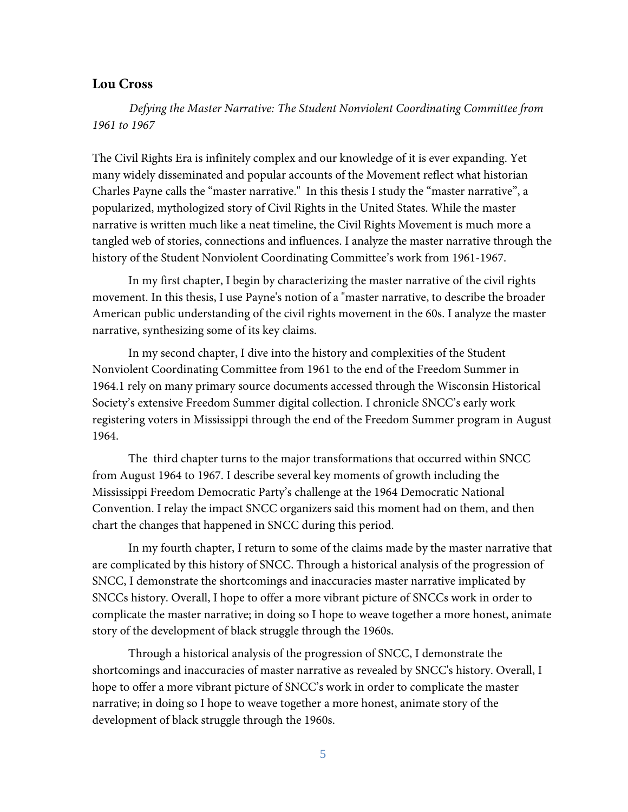# **Lou Cross**

*Defying the Master Narrative: The Student Nonviolent Coordinating Committee from 1961 to 1967*

The Civil Rights Era is infinitely complex and our knowledge of it is ever expanding. Yet many widely disseminated and popular accounts of the Movement reflect what historian Charles Payne calls the "master narrative." In this thesis I study the "master narrative", a popularized, mythologized story of Civil Rights in the United States. While the master narrative is written much like a neat timeline, the Civil Rights Movement is much more a tangled web of stories, connections and influences. I analyze the master narrative through the history of the Student Nonviolent Coordinating Committee's work from 1961-1967.

In my first chapter, I begin by characterizing the master narrative of the civil rights movement. In this thesis, I use Payne's notion of a "master narrative, to describe the broader American public understanding of the civil rights movement in the 60s. I analyze the master narrative, synthesizing some of its key claims.

In my second chapter, I dive into the history and complexities of the Student Nonviolent Coordinating Committee from 1961 to the end of the Freedom Summer in 1964.1 rely on many primary source documents accessed through the Wisconsin Historical Society's extensive Freedom Summer digital collection. I chronicle SNCC's early work registering voters in Mississippi through the end of the Freedom Summer program in August 1964.

The third chapter turns to the major transformations that occurred within SNCC from August 1964 to 1967. I describe several key moments of growth including the Mississippi Freedom Democratic Party's challenge at the 1964 Democratic National Convention. I relay the impact SNCC organizers said this moment had on them, and then chart the changes that happened in SNCC during this period.

In my fourth chapter, I return to some of the claims made by the master narrative that are complicated by this history of SNCC. Through a historical analysis of the progression of SNCC, I demonstrate the shortcomings and inaccuracies master narrative implicated by SNCCs history. Overall, I hope to offer a more vibrant picture of SNCCs work in order to complicate the master narrative; in doing so I hope to weave together a more honest, animate story of the development of black struggle through the 1960s.

Through a historical analysis of the progression of SNCC, I demonstrate the shortcomings and inaccuracies of master narrative as revealed by SNCC's history. Overall, I hope to offer a more vibrant picture of SNCC's work in order to complicate the master narrative; in doing so I hope to weave together a more honest, animate story of the development of black struggle through the 1960s.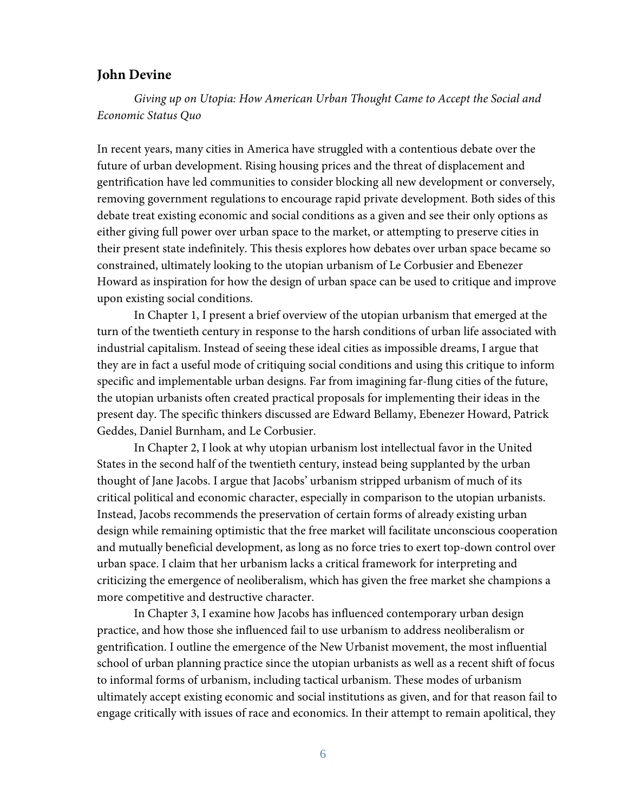# **John Devine**

*Giving up on Utopia: How American Urban Thought Came to Accept the Social and Economic Status Quo* 

In recent years, many cities in America have struggled with a contentious debate over the future of urban development. Rising housing prices and the threat of displacement and gentrification have led communities to consider blocking all new development or conversely, removing government regulations to encourage rapid private development. Both sides of this debate treat existing economic and social conditions as a given and see their only options as either giving full power over urban space to the market, or attempting to preserve cities in their present state indefinitely. This thesis explores how debates over urban space became so constrained, ultimately looking to the utopian urbanism of Le Corbusier and Ebenezer Howard as inspiration for how the design of urban space can be used to critique and improve upon existing social conditions.

In Chapter 1, I present a brief overview of the utopian urbanism that emerged at the turn of the twentieth century in response to the harsh conditions of urban life associated with industrial capitalism. Instead of seeing these ideal cities as impossible dreams, I argue that they are in fact a useful mode of critiquing social conditions and using this critique to inform specific and implementable urban designs. Far from imagining far-flung cities of the future, the utopian urbanists often created practical proposals for implementing their ideas in the present day. The specific thinkers discussed are Edward Bellamy, Ebenezer Howard, Patrick Geddes, Daniel Burnham, and Le Corbusier.

In Chapter 2, I look at why utopian urbanism lost intellectual favor in the United States in the second half of the twentieth century, instead being supplanted by the urban thought of Jane Jacobs. I argue that Jacobs' urbanism stripped urbanism of much of its critical political and economic character, especially in comparison to the utopian urbanists. Instead, Jacobs recommends the preservation of certain forms of already existing urban design while remaining optimistic that the free market will facilitate unconscious cooperation and mutually beneficial development, as long as no force tries to exert top-down control over urban space. I claim that her urbanism lacks a critical framework for interpreting and criticizing the emergence of neoliberalism, which has given the free market she champions a more competitive and destructive character.

In Chapter 3, I examine how Jacobs has influenced contemporary urban design practice, and how those she influenced fail to use urbanism to address neoliberalism or gentrification. I outline the emergence of the New Urbanist movement, the most influential school of urban planning practice since the utopian urbanists as well as a recent shift of focus to informal forms of urbanism, including tactical urbanism. These modes of urbanism ultimately accept existing economic and social institutions as given, and for that reason fail to engage critically with issues of race and economics. In their attempt to remain apolitical, they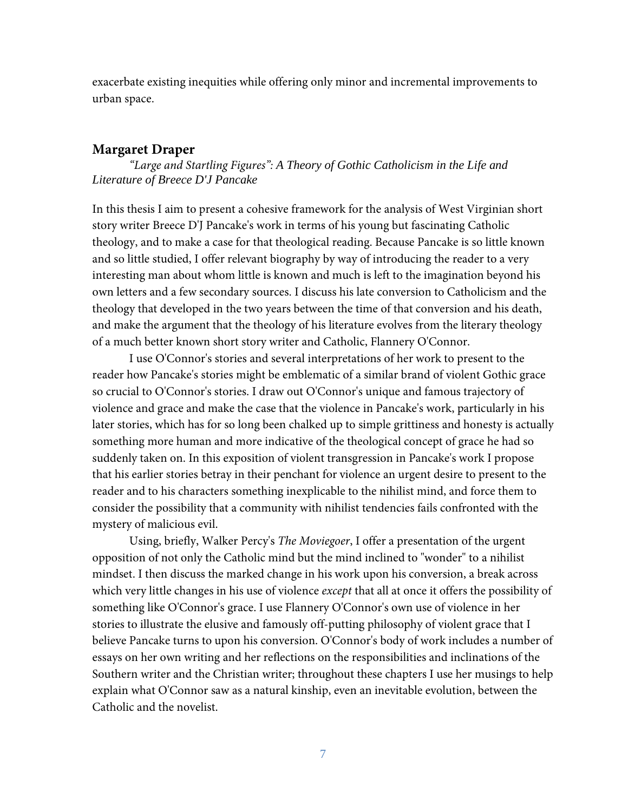exacerbate existing inequities while offering only minor and incremental improvements to urban space.

#### **Margaret Draper**

*"Large and Startling Figures": A Theory of Gothic Catholicism in the Life and Literature of Breece D'J Pancake*

In this thesis I aim to present a cohesive framework for the analysis of West Virginian short story writer Breece D'J Pancake's work in terms of his young but fascinating Catholic theology, and to make a case for that theological reading. Because Pancake is so little known and so little studied, I offer relevant biography by way of introducing the reader to a very interesting man about whom little is known and much is left to the imagination beyond his own letters and a few secondary sources. I discuss his late conversion to Catholicism and the theology that developed in the two years between the time of that conversion and his death, and make the argument that the theology of his literature evolves from the literary theology of a much better known short story writer and Catholic, Flannery O'Connor.

I use O'Connor's stories and several interpretations of her work to present to the reader how Pancake's stories might be emblematic of a similar brand of violent Gothic grace so crucial to O'Connor's stories. I draw out O'Connor's unique and famous trajectory of violence and grace and make the case that the violence in Pancake's work, particularly in his later stories, which has for so long been chalked up to simple grittiness and honesty is actually something more human and more indicative of the theological concept of grace he had so suddenly taken on. In this exposition of violent transgression in Pancake's work I propose that his earlier stories betray in their penchant for violence an urgent desire to present to the reader and to his characters something inexplicable to the nihilist mind, and force them to consider the possibility that a community with nihilist tendencies fails confronted with the mystery of malicious evil.

Using, briefly, Walker Percy's *The Moviegoer*, I offer a presentation of the urgent opposition of not only the Catholic mind but the mind inclined to "wonder" to a nihilist mindset. I then discuss the marked change in his work upon his conversion, a break across which very little changes in his use of violence *except* that all at once it offers the possibility of something like O'Connor's grace. I use Flannery O'Connor's own use of violence in her stories to illustrate the elusive and famously off-putting philosophy of violent grace that I believe Pancake turns to upon his conversion. O'Connor's body of work includes a number of essays on her own writing and her reflections on the responsibilities and inclinations of the Southern writer and the Christian writer; throughout these chapters I use her musings to help explain what O'Connor saw as a natural kinship, even an inevitable evolution, between the Catholic and the novelist.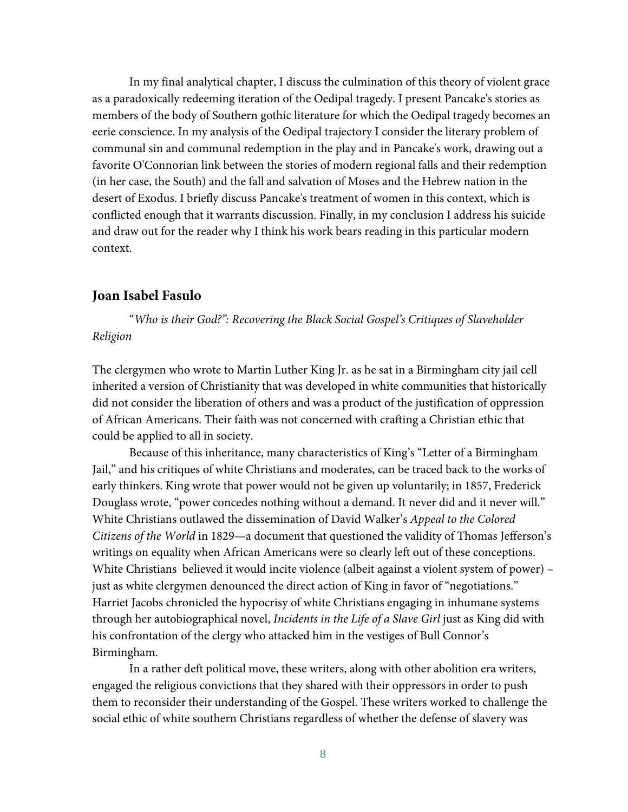In my final analytical chapter, I discuss the culmination of this theory of violent grace as a paradoxically redeeming iteration of the Oedipal tragedy. I present Pancake's stories as members of the body of Southern gothic literature for which the Oedipal tragedy becomes an eerie conscience. In my analysis of the Oedipal trajectory I consider the literary problem of communal sin and communal redemption in the play and in Pancake's work, drawing out a favorite O'Connorian link between the stories of modern regional falls and their redemption (in her case, the South) and the fall and salvation of Moses and the Hebrew nation in the desert of Exodus. I briefly discuss Pancake's treatment of women in this context, which is conflicted enough that it warrants discussion. Finally, in my conclusion I address his suicide and draw out for the reader why I think his work bears reading in this particular modern context.

# **Joan Isabel Fasulo**

"*Who is their God?": Recovering the Black Social Gospel's Critiques of Slaveholder Religion* 

The clergymen who wrote to Martin Luther King Jr. as he sat in a Birmingham city jail cell inherited a version of Christianity that was developed in white communities that historically did not consider the liberation of others and was a product of the justification of oppression of African Americans. Their faith was not concerned with crafting a Christian ethic that could be applied to all in society.

Because of this inheritance, many characteristics of King's "Letter of a Birmingham Jail," and his critiques of white Christians and moderates, can be traced back to the works of early thinkers. King wrote that power would not be given up voluntarily; in 1857, Frederick Douglass wrote, "power concedes nothing without a demand. It never did and it never will." White Christians outlawed the dissemination of David Walker's *Appeal to the Colored Citizens of the World* in 1829—a document that questioned the validity of Thomas Jefferson's writings on equality when African Americans were so clearly left out of these conceptions. White Christians believed it would incite violence (albeit against a violent system of power) – just as white clergymen denounced the direct action of King in favor of "negotiations." Harriet Jacobs chronicled the hypocrisy of white Christians engaging in inhumane systems through her autobiographical novel, *Incidents in the Life of a Slave Girl* just as King did with his confrontation of the clergy who attacked him in the vestiges of Bull Connor's Birmingham.

In a rather deft political move, these writers, along with other abolition era writers, engaged the religious convictions that they shared with their oppressors in order to push them to reconsider their understanding of the Gospel. These writers worked to challenge the social ethic of white southern Christians regardless of whether the defense of slavery was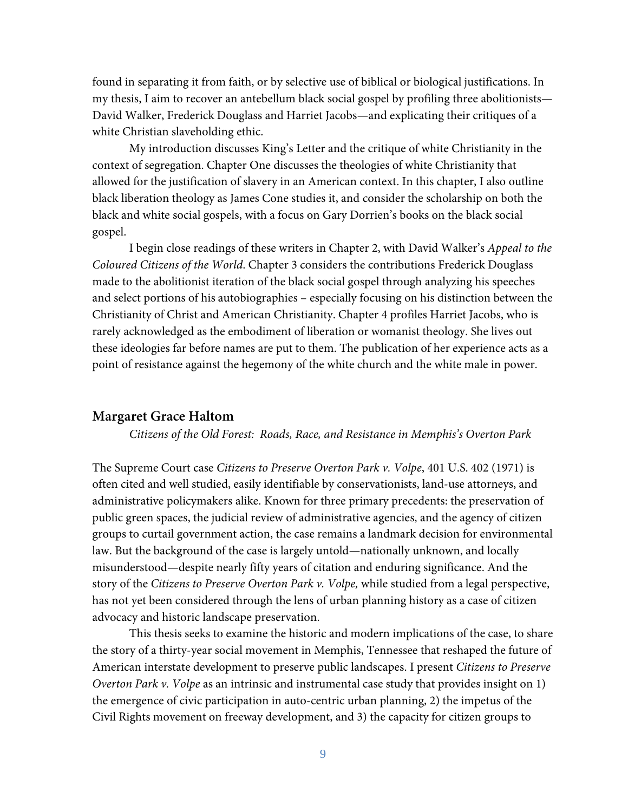found in separating it from faith, or by selective use of biblical or biological justifications. In my thesis, I aim to recover an antebellum black social gospel by profiling three abolitionists— David Walker, Frederick Douglass and Harriet Jacobs—and explicating their critiques of a white Christian slaveholding ethic.

My introduction discusses King's Letter and the critique of white Christianity in the context of segregation. Chapter One discusses the theologies of white Christianity that allowed for the justification of slavery in an American context. In this chapter, I also outline black liberation theology as James Cone studies it, and consider the scholarship on both the black and white social gospels, with a focus on Gary Dorrien's books on the black social gospel.

I begin close readings of these writers in Chapter 2, with David Walker's *Appeal to the Coloured Citizens of the World*. Chapter 3 considers the contributions Frederick Douglass made to the abolitionist iteration of the black social gospel through analyzing his speeches and select portions of his autobiographies – especially focusing on his distinction between the Christianity of Christ and American Christianity. Chapter 4 profiles Harriet Jacobs, who is rarely acknowledged as the embodiment of liberation or womanist theology. She lives out these ideologies far before names are put to them. The publication of her experience acts as a point of resistance against the hegemony of the white church and the white male in power.

# **Margaret Grace Haltom**

*Citizens of the Old Forest: Roads, Race, and Resistance in Memphis's Overton Park* 

The Supreme Court case *Citizens to Preserve Overton Park v. Volpe*, 401 U.S. 402 (1971) is often cited and well studied, easily identifiable by conservationists, land-use attorneys, and administrative policymakers alike. Known for three primary precedents: the preservation of public green spaces, the judicial review of administrative agencies, and the agency of citizen groups to curtail government action, the case remains a landmark decision for environmental law. But the background of the case is largely untold—nationally unknown, and locally misunderstood—despite nearly fifty years of citation and enduring significance. And the story of the *Citizens to Preserve Overton Park v. Volpe,* while studied from a legal perspective, has not yet been considered through the lens of urban planning history as a case of citizen advocacy and historic landscape preservation.

This thesis seeks to examine the historic and modern implications of the case, to share the story of a thirty-year social movement in Memphis, Tennessee that reshaped the future of American interstate development to preserve public landscapes. I present *Citizens to Preserve Overton Park v. Volpe* as an intrinsic and instrumental case study that provides insight on 1) the emergence of civic participation in auto-centric urban planning, 2) the impetus of the Civil Rights movement on freeway development, and 3) the capacity for citizen groups to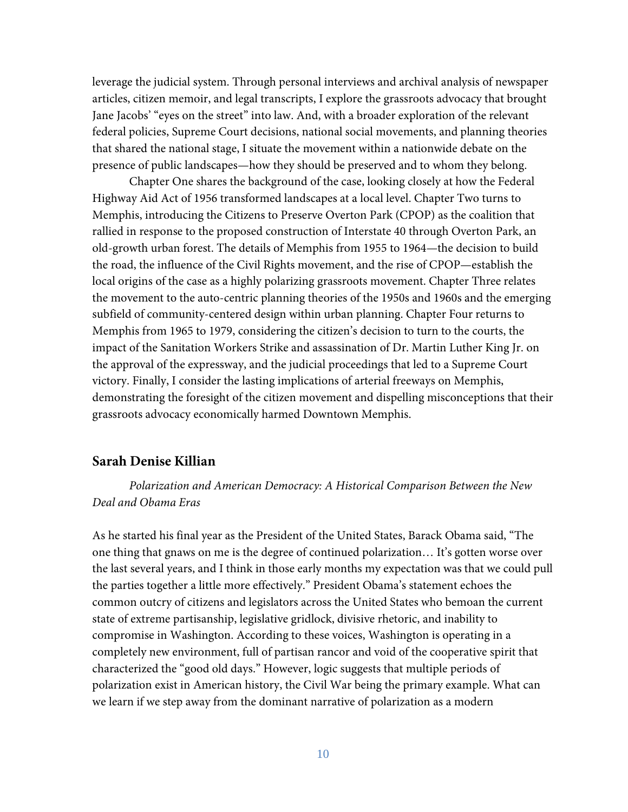leverage the judicial system. Through personal interviews and archival analysis of newspaper articles, citizen memoir, and legal transcripts, I explore the grassroots advocacy that brought Jane Jacobs' "eyes on the street" into law. And, with a broader exploration of the relevant federal policies, Supreme Court decisions, national social movements, and planning theories that shared the national stage, I situate the movement within a nationwide debate on the presence of public landscapes—how they should be preserved and to whom they belong.

Chapter One shares the background of the case, looking closely at how the Federal Highway Aid Act of 1956 transformed landscapes at a local level. Chapter Two turns to Memphis, introducing the Citizens to Preserve Overton Park (CPOP) as the coalition that rallied in response to the proposed construction of Interstate 40 through Overton Park, an old-growth urban forest. The details of Memphis from 1955 to 1964—the decision to build the road, the influence of the Civil Rights movement, and the rise of CPOP—establish the local origins of the case as a highly polarizing grassroots movement. Chapter Three relates the movement to the auto-centric planning theories of the 1950s and 1960s and the emerging subfield of community-centered design within urban planning. Chapter Four returns to Memphis from 1965 to 1979, considering the citizen's decision to turn to the courts, the impact of the Sanitation Workers Strike and assassination of Dr. Martin Luther King Jr. on the approval of the expressway, and the judicial proceedings that led to a Supreme Court victory. Finally, I consider the lasting implications of arterial freeways on Memphis, demonstrating the foresight of the citizen movement and dispelling misconceptions that their grassroots advocacy economically harmed Downtown Memphis.

# **Sarah Denise Killian**

*Polarization and American Democracy: A Historical Comparison Between the New Deal and Obama Eras*

As he started his final year as the President of the United States, Barack Obama said, "The one thing that gnaws on me is the degree of continued polarization… It's gotten worse over the last several years, and I think in those early months my expectation was that we could pull the parties together a little more effectively." President Obama's statement echoes the common outcry of citizens and legislators across the United States who bemoan the current state of extreme partisanship, legislative gridlock, divisive rhetoric, and inability to compromise in Washington. According to these voices, Washington is operating in a completely new environment, full of partisan rancor and void of the cooperative spirit that characterized the "good old days." However, logic suggests that multiple periods of polarization exist in American history, the Civil War being the primary example. What can we learn if we step away from the dominant narrative of polarization as a modern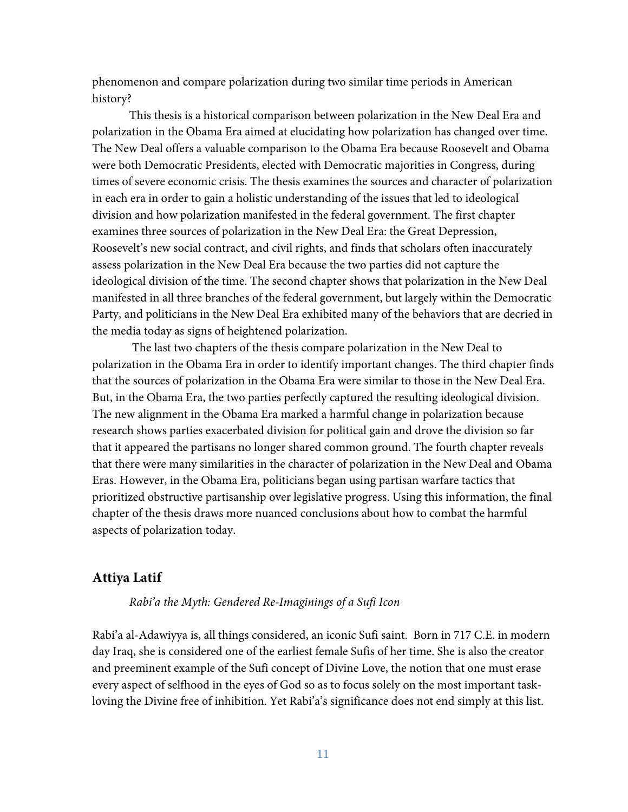phenomenon and compare polarization during two similar time periods in American history?

This thesis is a historical comparison between polarization in the New Deal Era and polarization in the Obama Era aimed at elucidating how polarization has changed over time. The New Deal offers a valuable comparison to the Obama Era because Roosevelt and Obama were both Democratic Presidents, elected with Democratic majorities in Congress, during times of severe economic crisis. The thesis examines the sources and character of polarization in each era in order to gain a holistic understanding of the issues that led to ideological division and how polarization manifested in the federal government. The first chapter examines three sources of polarization in the New Deal Era: the Great Depression, Roosevelt's new social contract, and civil rights, and finds that scholars often inaccurately assess polarization in the New Deal Era because the two parties did not capture the ideological division of the time. The second chapter shows that polarization in the New Deal manifested in all three branches of the federal government, but largely within the Democratic Party, and politicians in the New Deal Era exhibited many of the behaviors that are decried in the media today as signs of heightened polarization.

The last two chapters of the thesis compare polarization in the New Deal to polarization in the Obama Era in order to identify important changes. The third chapter finds that the sources of polarization in the Obama Era were similar to those in the New Deal Era. But, in the Obama Era, the two parties perfectly captured the resulting ideological division. The new alignment in the Obama Era marked a harmful change in polarization because research shows parties exacerbated division for political gain and drove the division so far that it appeared the partisans no longer shared common ground. The fourth chapter reveals that there were many similarities in the character of polarization in the New Deal and Obama Eras. However, in the Obama Era, politicians began using partisan warfare tactics that prioritized obstructive partisanship over legislative progress. Using this information, the final chapter of the thesis draws more nuanced conclusions about how to combat the harmful aspects of polarization today.

# **Attiya Latif**

#### *Rabi'a the Myth: Gendered Re-Imaginings of a Sufi Icon*

Rabi'a al-Adawiyya is, all things considered, an iconic Sufi saint. Born in 717 C.E. in modern day Iraq, she is considered one of the earliest female Sufis of her time. She is also the creator and preeminent example of the Sufi concept of Divine Love, the notion that one must erase every aspect of selfhood in the eyes of God so as to focus solely on the most important taskloving the Divine free of inhibition. Yet Rabi'a's significance does not end simply at this list.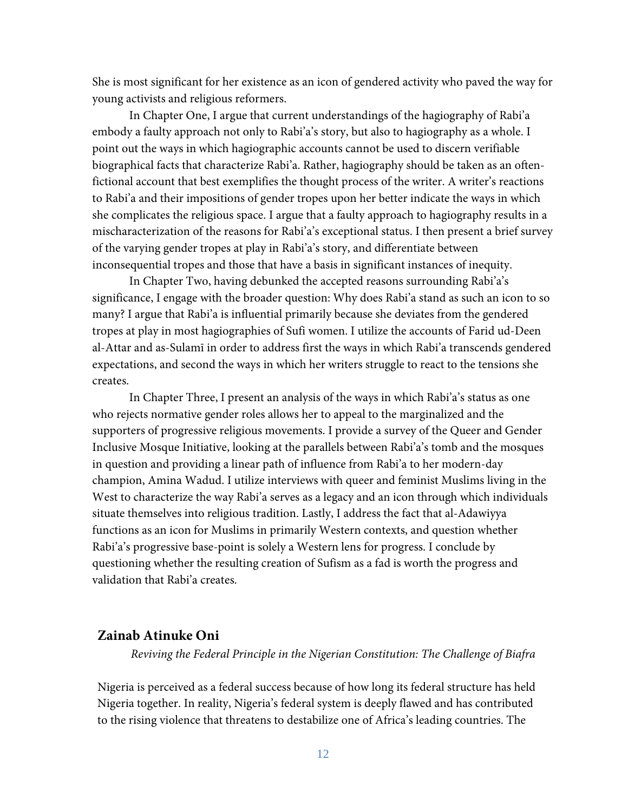She is most significant for her existence as an icon of gendered activity who paved the way for young activists and religious reformers.

In Chapter One, I argue that current understandings of the hagiography of Rabi'a embody a faulty approach not only to Rabi'a's story, but also to hagiography as a whole. I point out the ways in which hagiographic accounts cannot be used to discern verifiable biographical facts that characterize Rabi'a. Rather, hagiography should be taken as an oftenfictional account that best exemplifies the thought process of the writer. A writer's reactions to Rabi'a and their impositions of gender tropes upon her better indicate the ways in which she complicates the religious space. I argue that a faulty approach to hagiography results in a mischaracterization of the reasons for Rabi'a's exceptional status. I then present a brief survey of the varying gender tropes at play in Rabi'a's story, and differentiate between inconsequential tropes and those that have a basis in significant instances of inequity.

In Chapter Two, having debunked the accepted reasons surrounding Rabi'a's significance, I engage with the broader question: Why does Rabi'a stand as such an icon to so many? I argue that Rabi'a is influential primarily because she deviates from the gendered tropes at play in most hagiographies of Sufi women. I utilize the accounts of Farid ud-Deen al-Attar and as-Sulamī in order to address first the ways in which Rabi'a transcends gendered expectations, and second the ways in which her writers struggle to react to the tensions she creates.

In Chapter Three, I present an analysis of the ways in which Rabi'a's status as one who rejects normative gender roles allows her to appeal to the marginalized and the supporters of progressive religious movements. I provide a survey of the Queer and Gender Inclusive Mosque Initiative, looking at the parallels between Rabi'a's tomb and the mosques in question and providing a linear path of influence from Rabi'a to her modern-day champion, Amina Wadud. I utilize interviews with queer and feminist Muslims living in the West to characterize the way Rabi'a serves as a legacy and an icon through which individuals situate themselves into religious tradition. Lastly, I address the fact that al-Adawiyya functions as an icon for Muslims in primarily Western contexts, and question whether Rabi'a's progressive base-point is solely a Western lens for progress. I conclude by questioning whether the resulting creation of Sufism as a fad is worth the progress and validation that Rabi'a creates.

# **Zainab Atinuke Oni**

*Reviving the Federal Principle in the Nigerian Constitution: The Challenge of Biafra* 

Nigeria is perceived as a federal success because of how long its federal structure has held Nigeria together. In reality, Nigeria's federal system is deeply flawed and has contributed to the rising violence that threatens to destabilize one of Africa's leading countries. The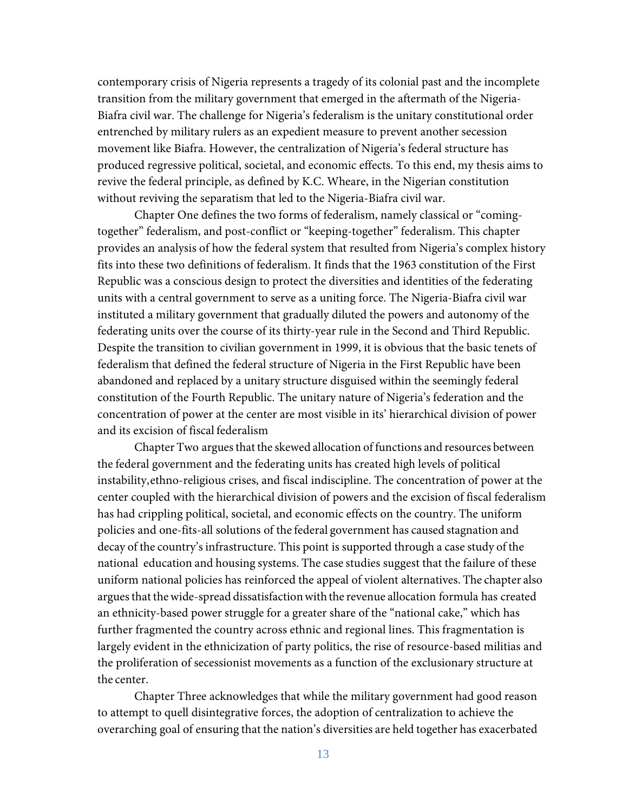contemporary crisis of Nigeria represents a tragedy of its colonial past and the incomplete transition from the military government that emerged in the aftermath of the Nigeria-Biafra civil war. The challenge for Nigeria's federalism is the unitary constitutional order entrenched by military rulers as an expedient measure to prevent another secession movement like Biafra. However, the centralization of Nigeria's federal structure has produced regressive political, societal, and economic effects. To this end, my thesis aims to revive the federal principle, as defined by K.C. Wheare, in the Nigerian constitution without reviving the separatism that led to the Nigeria-Biafra civil war.

Chapter One defines the two forms of federalism, namely classical or "comingtogether" federalism, and post-conflict or "keeping-together" federalism. This chapter provides an analysis of how the federal system that resulted from Nigeria's complex history fits into these two definitions of federalism. It finds that the 1963 constitution of the First Republic was a conscious design to protect the diversities and identities of the federating units with a central government to serve as a uniting force. The Nigeria-Biafra civil war instituted a military government that gradually diluted the powers and autonomy of the federating units over the course of its thirty-year rule in the Second and Third Republic. Despite the transition to civilian government in 1999, it is obvious that the basic tenets of federalism that defined the federal structure of Nigeria in the First Republic have been abandoned and replaced by a unitary structure disguised within the seemingly federal constitution of the Fourth Republic. The unitary nature of Nigeria's federation and the concentration of power at the center are most visible in its' hierarchical division of power and its excision of fiscal federalism

Chapter Two arguesthat the skewed allocation of functions and resources between the federal government and the federating units has created high levels of political instability,ethno-religious crises, and fiscal indiscipline. The concentration of power at the center coupled with the hierarchical division of powers and the excision of fiscal federalism has had crippling political, societal, and economic effects on the country. The uniform policies and one-fits-all solutions of the federal government has caused stagnation and decay of the country's infrastructure. This point is supported through a case study of the national education and housing systems. The case studies suggest that the failure of these uniform national policies has reinforced the appeal of violent alternatives. The chapter also argues that the wide-spread dissatisfaction with the revenue allocation formula has created an ethnicity-based power struggle for a greater share of the "national cake," which has further fragmented the country across ethnic and regional lines. This fragmentation is largely evident in the ethnicization of party politics, the rise of resource-based militias and the proliferation of secessionist movements as a function of the exclusionary structure at the center.

Chapter Three acknowledges that while the military government had good reason to attempt to quell disintegrative forces, the adoption of centralization to achieve the overarching goal of ensuring that the nation's diversities are held together has exacerbated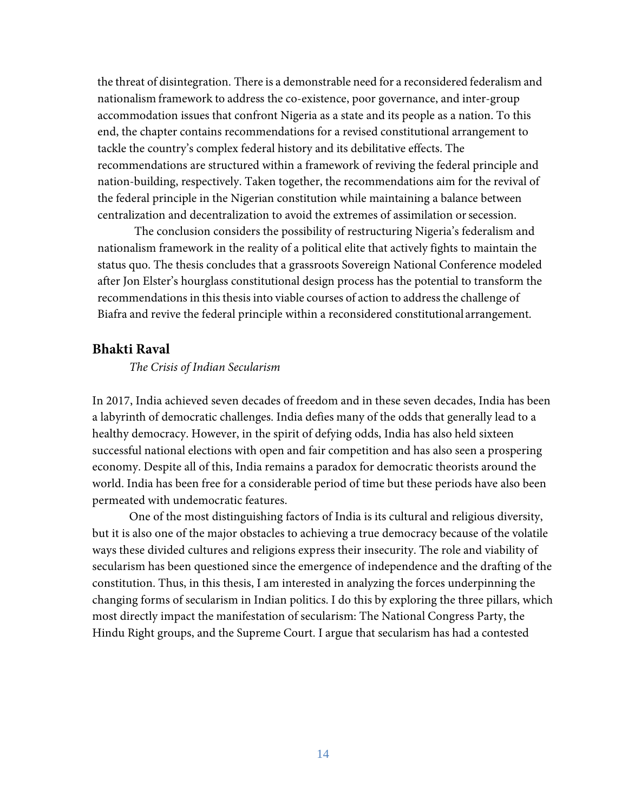the threat of disintegration. There is a demonstrable need for a reconsidered federalism and nationalism framework to address the co-existence, poor governance, and inter-group accommodation issues that confront Nigeria as a state and its people as a nation. To this end, the chapter contains recommendations for a revised constitutional arrangement to tackle the country's complex federal history and its debilitative effects. The recommendations are structured within a framework of reviving the federal principle and nation-building, respectively. Taken together, the recommendations aim for the revival of the federal principle in the Nigerian constitution while maintaining a balance between centralization and decentralization to avoid the extremes of assimilation or secession.

The conclusion considers the possibility of restructuring Nigeria's federalism and nationalism framework in the reality of a political elite that actively fights to maintain the status quo. The thesis concludes that a grassroots Sovereign National Conference modeled after Jon Elster's hourglass constitutional design process has the potential to transform the recommendations in this thesis into viable courses of action to address the challenge of Biafra and revive the federal principle within a reconsidered constitutional arrangement.

# **Bhakti Raval**

#### *The Crisis of Indian Secularism*

In 2017, India achieved seven decades of freedom and in these seven decades, India has been a labyrinth of democratic challenges. India defies many of the odds that generally lead to a healthy democracy. However, in the spirit of defying odds, India has also held sixteen successful national elections with open and fair competition and has also seen a prospering economy. Despite all of this, India remains a paradox for democratic theorists around the world. India has been free for a considerable period of time but these periods have also been permeated with undemocratic features.

One of the most distinguishing factors of India is its cultural and religious diversity, but it is also one of the major obstacles to achieving a true democracy because of the volatile ways these divided cultures and religions express their insecurity. The role and viability of secularism has been questioned since the emergence of independence and the drafting of the constitution. Thus, in this thesis, I am interested in analyzing the forces underpinning the changing forms of secularism in Indian politics. I do this by exploring the three pillars, which most directly impact the manifestation of secularism: The National Congress Party, the Hindu Right groups, and the Supreme Court. I argue that secularism has had a contested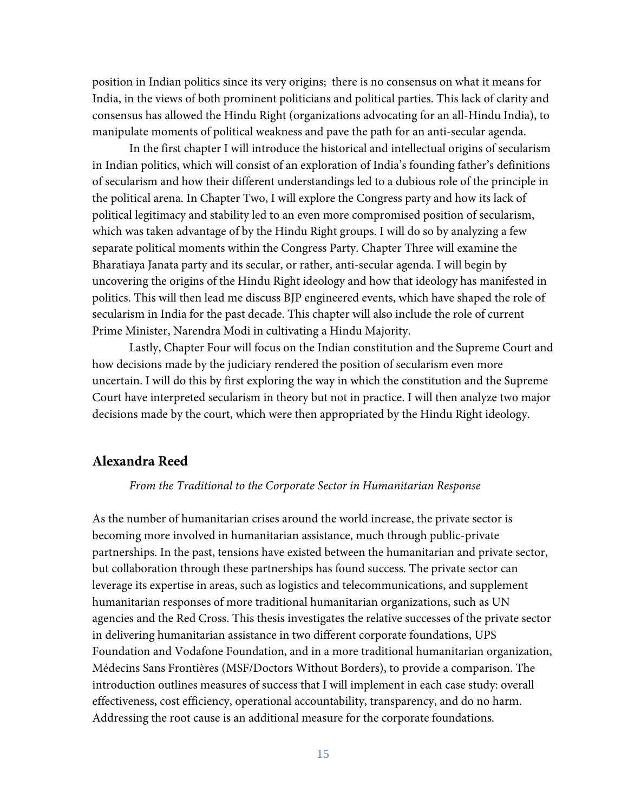position in Indian politics since its very origins; there is no consensus on what it means for India, in the views of both prominent politicians and political parties. This lack of clarity and consensus has allowed the Hindu Right (organizations advocating for an all-Hindu India), to manipulate moments of political weakness and pave the path for an anti-secular agenda.

In the first chapter I will introduce the historical and intellectual origins of secularism in Indian politics, which will consist of an exploration of India's founding father's definitions of secularism and how their different understandings led to a dubious role of the principle in the political arena. In Chapter Two, I will explore the Congress party and how its lack of political legitimacy and stability led to an even more compromised position of secularism, which was taken advantage of by the Hindu Right groups. I will do so by analyzing a few separate political moments within the Congress Party. Chapter Three will examine the Bharatiaya Janata party and its secular, or rather, anti-secular agenda. I will begin by uncovering the origins of the Hindu Right ideology and how that ideology has manifested in politics. This will then lead me discuss BJP engineered events, which have shaped the role of secularism in India for the past decade. This chapter will also include the role of current Prime Minister, Narendra Modi in cultivating a Hindu Majority.

Lastly, Chapter Four will focus on the Indian constitution and the Supreme Court and how decisions made by the judiciary rendered the position of secularism even more uncertain. I will do this by first exploring the way in which the constitution and the Supreme Court have interpreted secularism in theory but not in practice. I will then analyze two major decisions made by the court, which were then appropriated by the Hindu Right ideology.

# **Alexandra Reed**

#### *From the Traditional to the Corporate Sector in Humanitarian Response*

As the number of humanitarian crises around the world increase, the private sector is becoming more involved in humanitarian assistance, much through public-private partnerships. In the past, tensions have existed between the humanitarian and private sector, but collaboration through these partnerships has found success. The private sector can leverage its expertise in areas, such as logistics and telecommunications, and supplement humanitarian responses of more traditional humanitarian organizations, such as UN agencies and the Red Cross. This thesis investigates the relative successes of the private sector in delivering humanitarian assistance in two different corporate foundations, UPS Foundation and Vodafone Foundation, and in a more traditional humanitarian organization, Médecins Sans Frontières (MSF/Doctors Without Borders), to provide a comparison. The introduction outlines measures of success that I will implement in each case study: overall effectiveness, cost efficiency, operational accountability, transparency, and do no harm. Addressing the root cause is an additional measure for the corporate foundations.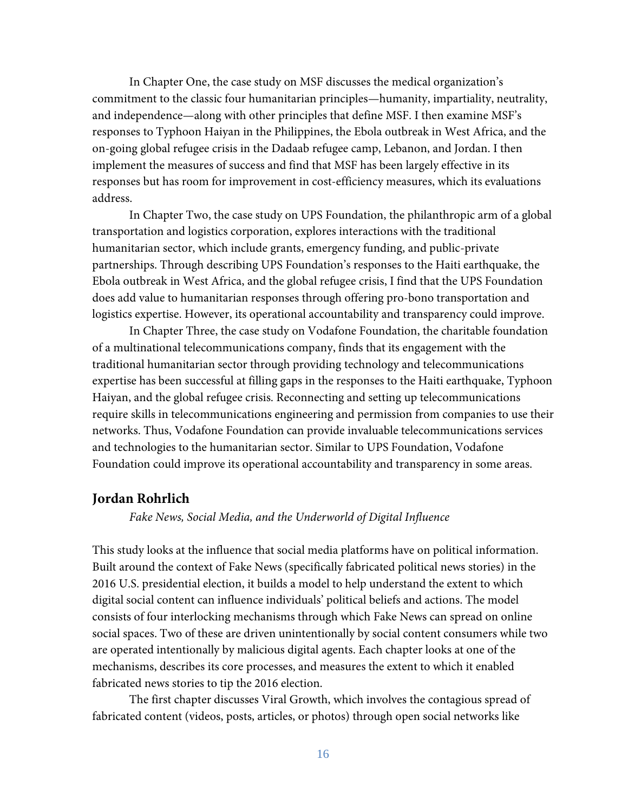In Chapter One, the case study on MSF discusses the medical organization's commitment to the classic four humanitarian principles—humanity, impartiality, neutrality, and independence—along with other principles that define MSF. I then examine MSF's responses to Typhoon Haiyan in the Philippines, the Ebola outbreak in West Africa, and the on-going global refugee crisis in the Dadaab refugee camp, Lebanon, and Jordan. I then implement the measures of success and find that MSF has been largely effective in its responses but has room for improvement in cost-efficiency measures, which its evaluations address.

In Chapter Two, the case study on UPS Foundation, the philanthropic arm of a global transportation and logistics corporation, explores interactions with the traditional humanitarian sector, which include grants, emergency funding, and public-private partnerships. Through describing UPS Foundation's responses to the Haiti earthquake, the Ebola outbreak in West Africa, and the global refugee crisis, I find that the UPS Foundation does add value to humanitarian responses through offering pro-bono transportation and logistics expertise. However, its operational accountability and transparency could improve.

In Chapter Three, the case study on Vodafone Foundation, the charitable foundation of a multinational telecommunications company, finds that its engagement with the traditional humanitarian sector through providing technology and telecommunications expertise has been successful at filling gaps in the responses to the Haiti earthquake, Typhoon Haiyan, and the global refugee crisis. Reconnecting and setting up telecommunications require skills in telecommunications engineering and permission from companies to use their networks. Thus, Vodafone Foundation can provide invaluable telecommunications services and technologies to the humanitarian sector. Similar to UPS Foundation, Vodafone Foundation could improve its operational accountability and transparency in some areas.

# **Jordan Rohrlich**

*Fake News, Social Media, and the Underworld of Digital Influence*

This study looks at the influence that social media platforms have on political information. Built around the context of Fake News (specifically fabricated political news stories) in the 2016 U.S. presidential election, it builds a model to help understand the extent to which digital social content can influence individuals' political beliefs and actions. The model consists of four interlocking mechanisms through which Fake News can spread on online social spaces. Two of these are driven unintentionally by social content consumers while two are operated intentionally by malicious digital agents. Each chapter looks at one of the mechanisms, describes its core processes, and measures the extent to which it enabled fabricated news stories to tip the 2016 election.

The first chapter discusses Viral Growth, which involves the contagious spread of fabricated content (videos, posts, articles, or photos) through open social networks like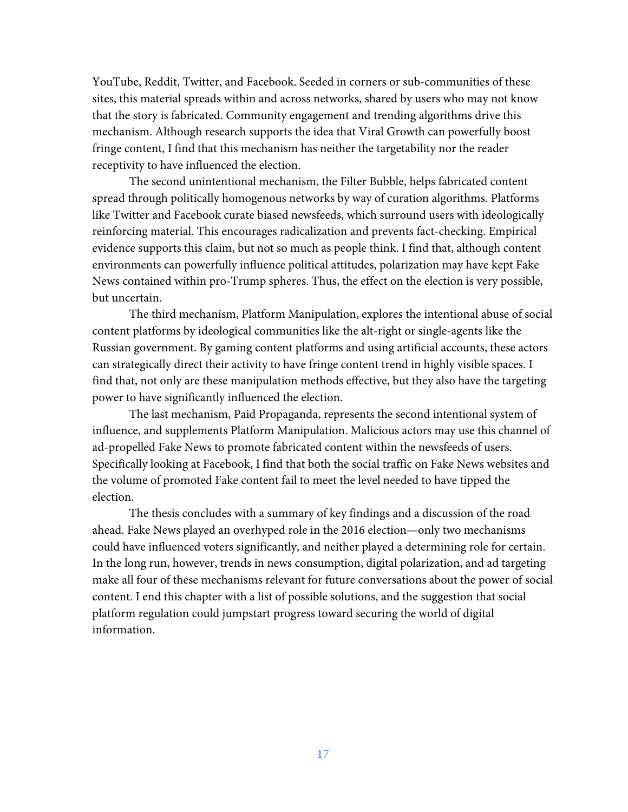YouTube, Reddit, Twitter, and Facebook. Seeded in corners or sub-communities of these sites, this material spreads within and across networks, shared by users who may not know that the story is fabricated. Community engagement and trending algorithms drive this mechanism. Although research supports the idea that Viral Growth can powerfully boost fringe content, I find that this mechanism has neither the targetability nor the reader receptivity to have influenced the election.

The second unintentional mechanism, the Filter Bubble, helps fabricated content spread through politically homogenous networks by way of curation algorithms. Platforms like Twitter and Facebook curate biased newsfeeds, which surround users with ideologically reinforcing material. This encourages radicalization and prevents fact-checking. Empirical evidence supports this claim, but not so much as people think. I find that, although content environments can powerfully influence political attitudes, polarization may have kept Fake News contained within pro-Trump spheres. Thus, the effect on the election is very possible, but uncertain.

The third mechanism, Platform Manipulation, explores the intentional abuse of social content platforms by ideological communities like the alt-right or single-agents like the Russian government. By gaming content platforms and using artificial accounts, these actors can strategically direct their activity to have fringe content trend in highly visible spaces. I find that, not only are these manipulation methods effective, but they also have the targeting power to have significantly influenced the election.

The last mechanism, Paid Propaganda, represents the second intentional system of influence, and supplements Platform Manipulation. Malicious actors may use this channel of ad-propelled Fake News to promote fabricated content within the newsfeeds of users. Specifically looking at Facebook, I find that both the social traffic on Fake News websites and the volume of promoted Fake content fail to meet the level needed to have tipped the election.

The thesis concludes with a summary of key findings and a discussion of the road ahead. Fake News played an overhyped role in the 2016 election—only two mechanisms could have influenced voters significantly, and neither played a determining role for certain. In the long run, however, trends in news consumption, digital polarization, and ad targeting make all four of these mechanisms relevant for future conversations about the power of social content. I end this chapter with a list of possible solutions, and the suggestion that social platform regulation could jumpstart progress toward securing the world of digital information.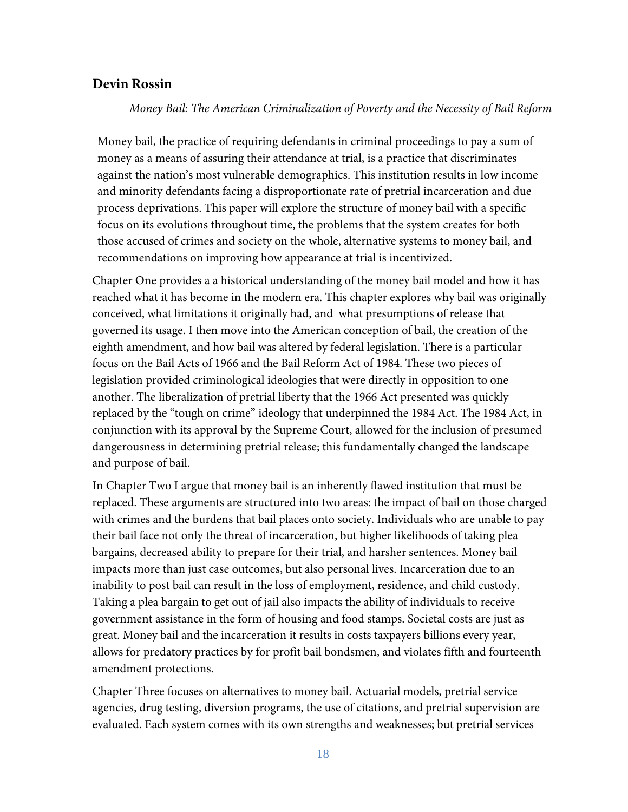# **Devin Rossin**

*Money Bail: The American Criminalization of Poverty and the Necessity of Bail Reform*

Money bail, the practice of requiring defendants in criminal proceedings to pay a sum of money as a means of assuring their attendance at trial, is a practice that discriminates against the nation's most vulnerable demographics. This institution results in low income and minority defendants facing a disproportionate rate of pretrial incarceration and due process deprivations. This paper will explore the structure of money bail with a specific focus on its evolutions throughout time, the problems that the system creates for both those accused of crimes and society on the whole, alternative systems to money bail, and recommendations on improving how appearance at trial is incentivized.

Chapter One provides a a historical understanding of the money bail model and how it has reached what it has become in the modern era. This chapter explores why bail was originally conceived, what limitations it originally had, and what presumptions of release that governed its usage. I then move into the American conception of bail, the creation of the eighth amendment, and how bail was altered by federal legislation. There is a particular focus on the Bail Acts of 1966 and the Bail Reform Act of 1984. These two pieces of legislation provided criminological ideologies that were directly in opposition to one another. The liberalization of pretrial liberty that the 1966 Act presented was quickly replaced by the "tough on crime" ideology that underpinned the 1984 Act. The 1984 Act, in conjunction with its approval by the Supreme Court, allowed for the inclusion of presumed dangerousness in determining pretrial release; this fundamentally changed the landscape and purpose of bail.

In Chapter Two I argue that money bail is an inherently flawed institution that must be replaced. These arguments are structured into two areas: the impact of bail on those charged with crimes and the burdens that bail places onto society. Individuals who are unable to pay their bail face not only the threat of incarceration, but higher likelihoods of taking plea bargains, decreased ability to prepare for their trial, and harsher sentences. Money bail impacts more than just case outcomes, but also personal lives. Incarceration due to an inability to post bail can result in the loss of employment, residence, and child custody. Taking a plea bargain to get out of jail also impacts the ability of individuals to receive government assistance in the form of housing and food stamps. Societal costs are just as great. Money bail and the incarceration it results in costs taxpayers billions every year, allows for predatory practices by for profit bail bondsmen, and violates fifth and fourteenth amendment protections.

Chapter Three focuses on alternatives to money bail. Actuarial models, pretrial service agencies, drug testing, diversion programs, the use of citations, and pretrial supervision are evaluated. Each system comes with its own strengths and weaknesses; but pretrial services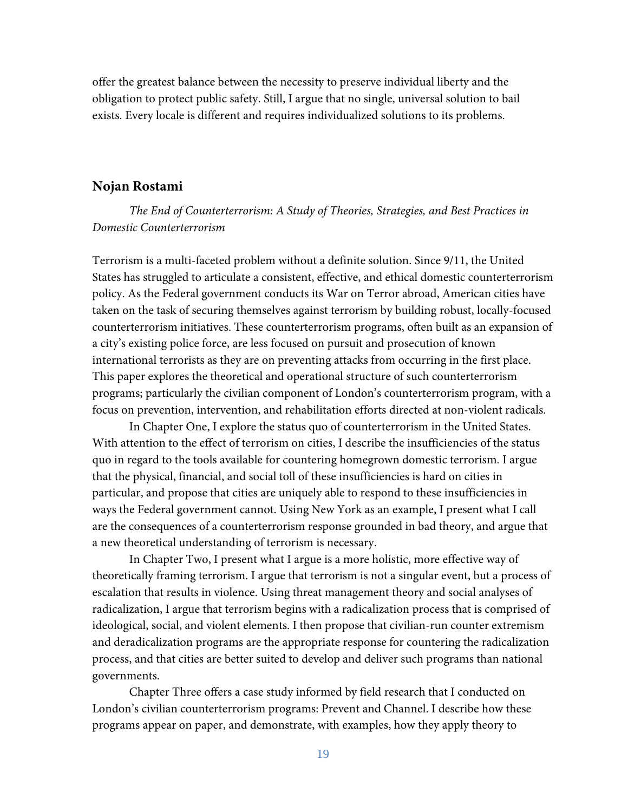offer the greatest balance between the necessity to preserve individual liberty and the obligation to protect public safety. Still, I argue that no single, universal solution to bail exists. Every locale is different and requires individualized solutions to its problems.

# **Nojan Rostami**

*The End of Counterterrorism: A Study of Theories, Strategies, and Best Practices in Domestic Counterterrorism*

Terrorism is a multi-faceted problem without a definite solution. Since 9/11, the United States has struggled to articulate a consistent, effective, and ethical domestic counterterrorism policy. As the Federal government conducts its War on Terror abroad, American cities have taken on the task of securing themselves against terrorism by building robust, locally-focused counterterrorism initiatives. These counterterrorism programs, often built as an expansion of a city's existing police force, are less focused on pursuit and prosecution of known international terrorists as they are on preventing attacks from occurring in the first place. This paper explores the theoretical and operational structure of such counterterrorism programs; particularly the civilian component of London's counterterrorism program, with a focus on prevention, intervention, and rehabilitation efforts directed at non-violent radicals.

In Chapter One, I explore the status quo of counterterrorism in the United States. With attention to the effect of terrorism on cities, I describe the insufficiencies of the status quo in regard to the tools available for countering homegrown domestic terrorism. I argue that the physical, financial, and social toll of these insufficiencies is hard on cities in particular, and propose that cities are uniquely able to respond to these insufficiencies in ways the Federal government cannot. Using New York as an example, I present what I call are the consequences of a counterterrorism response grounded in bad theory, and argue that a new theoretical understanding of terrorism is necessary.

In Chapter Two, I present what I argue is a more holistic, more effective way of theoretically framing terrorism. I argue that terrorism is not a singular event, but a process of escalation that results in violence. Using threat management theory and social analyses of radicalization, I argue that terrorism begins with a radicalization process that is comprised of ideological, social, and violent elements. I then propose that civilian-run counter extremism and deradicalization programs are the appropriate response for countering the radicalization process, and that cities are better suited to develop and deliver such programs than national governments.

Chapter Three offers a case study informed by field research that I conducted on London's civilian counterterrorism programs: Prevent and Channel. I describe how these programs appear on paper, and demonstrate, with examples, how they apply theory to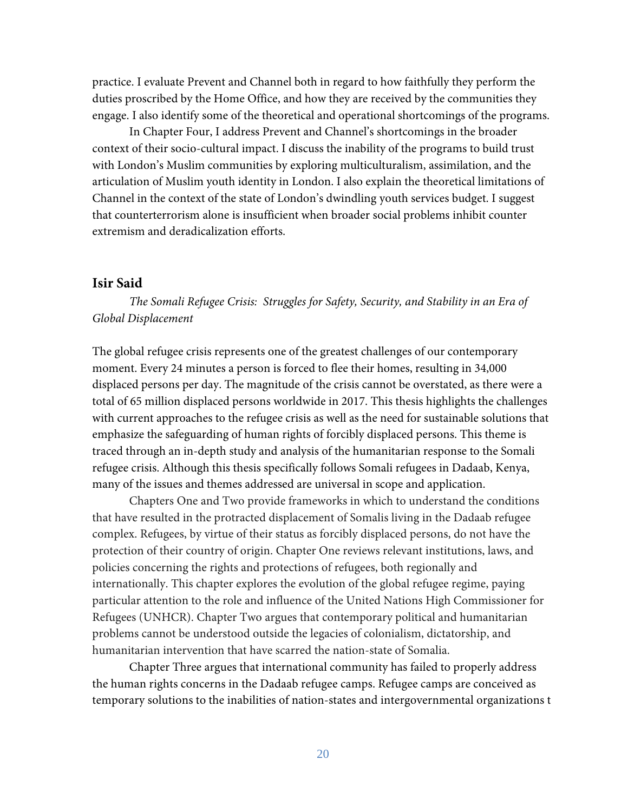practice. I evaluate Prevent and Channel both in regard to how faithfully they perform the duties proscribed by the Home Office, and how they are received by the communities they engage. I also identify some of the theoretical and operational shortcomings of the programs.

In Chapter Four, I address Prevent and Channel's shortcomings in the broader context of their socio-cultural impact. I discuss the inability of the programs to build trust with London's Muslim communities by exploring multiculturalism, assimilation, and the articulation of Muslim youth identity in London. I also explain the theoretical limitations of Channel in the context of the state of London's dwindling youth services budget. I suggest that counterterrorism alone is insufficient when broader social problems inhibit counter extremism and deradicalization efforts.

#### **Isir Said**

*The Somali Refugee Crisis: Struggles for Safety, Security, and Stability in an Era of Global Displacement* 

The global refugee crisis represents one of the greatest challenges of our contemporary moment. Every 24 minutes a person is forced to flee their homes, resulting in 34,000 displaced persons per day. The magnitude of the crisis cannot be overstated, as there were a total of 65 million displaced persons worldwide in 2017. This thesis highlights the challenges with current approaches to the refugee crisis as well as the need for sustainable solutions that emphasize the safeguarding of human rights of forcibly displaced persons. This theme is traced through an in-depth study and analysis of the humanitarian response to the Somali refugee crisis. Although this thesis specifically follows Somali refugees in Dadaab, Kenya, many of the issues and themes addressed are universal in scope and application.

Chapters One and Two provide frameworks in which to understand the conditions that have resulted in the protracted displacement of Somalis living in the Dadaab refugee complex. Refugees, by virtue of their status as forcibly displaced persons, do not have the protection of their country of origin. Chapter One reviews relevant institutions, laws, and policies concerning the rights and protections of refugees, both regionally and internationally. This chapter explores the evolution of the global refugee regime, paying particular attention to the role and influence of the United Nations High Commissioner for Refugees (UNHCR). Chapter Two argues that contemporary political and humanitarian problems cannot be understood outside the legacies of colonialism, dictatorship, and humanitarian intervention that have scarred the nation-state of Somalia.

Chapter Three argues that international community has failed to properly address the human rights concerns in the Dadaab refugee camps. Refugee camps are conceived as temporary solutions to the inabilities of nation-states and intergovernmental organizations t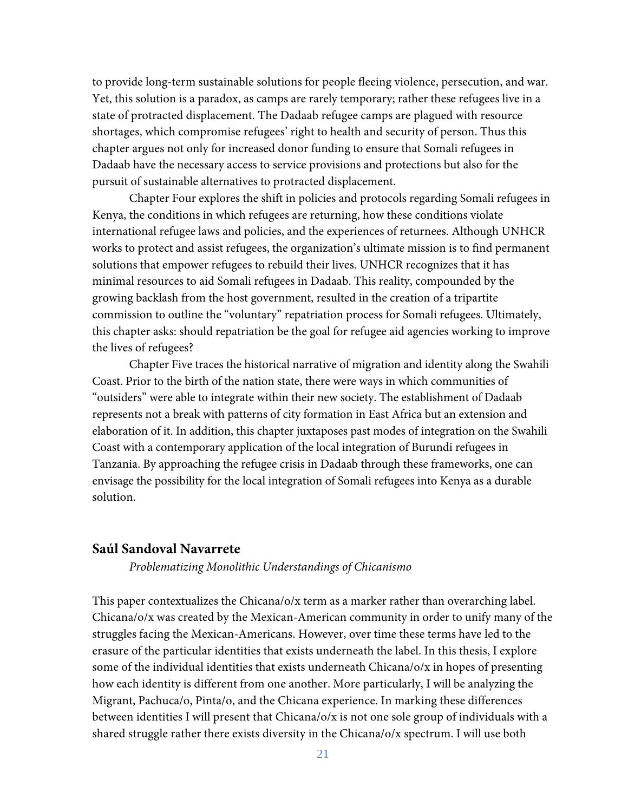to provide long-term sustainable solutions for people fleeing violence, persecution, and war. Yet, this solution is a paradox, as camps are rarely temporary; rather these refugees live in a state of protracted displacement. The Dadaab refugee camps are plagued with resource shortages, which compromise refugees' right to health and security of person. Thus this chapter argues not only for increased donor funding to ensure that Somali refugees in Dadaab have the necessary access to service provisions and protections but also for the pursuit of sustainable alternatives to protracted displacement.

Chapter Four explores the shift in policies and protocols regarding Somali refugees in Kenya, the conditions in which refugees are returning, how these conditions violate international refugee laws and policies, and the experiences of returnees. Although UNHCR works to protect and assist refugees, the organization's ultimate mission is to find permanent solutions that empower refugees to rebuild their lives. UNHCR recognizes that it has minimal resources to aid Somali refugees in Dadaab. This reality, compounded by the growing backlash from the host government, resulted in the creation of a tripartite commission to outline the "voluntary" repatriation process for Somali refugees. Ultimately, this chapter asks: should repatriation be the goal for refugee aid agencies working to improve the lives of refugees?

Chapter Five traces the historical narrative of migration and identity along the Swahili Coast. Prior to the birth of the nation state, there were ways in which communities of "outsiders" were able to integrate within their new society. The establishment of Dadaab represents not a break with patterns of city formation in East Africa but an extension and elaboration of it. In addition, this chapter juxtaposes past modes of integration on the Swahili Coast with a contemporary application of the local integration of Burundi refugees in Tanzania. By approaching the refugee crisis in Dadaab through these frameworks, one can envisage the possibility for the local integration of Somali refugees into Kenya as a durable solution.

# **Saúl Sandoval Navarrete**

*Problematizing Monolithic Understandings of Chicanismo* 

This paper contextualizes the Chicana/o/x term as a marker rather than overarching label. Chicana/o/x was created by the Mexican-American community in order to unify many of the struggles facing the Mexican-Americans. However, over time these terms have led to the erasure of the particular identities that exists underneath the label. In this thesis, I explore some of the individual identities that exists underneath Chicana/o/x in hopes of presenting how each identity is different from one another. More particularly, I will be analyzing the Migrant, Pachuca/o, Pinta/o, and the Chicana experience. In marking these differences between identities I will present that Chicana/o/x is not one sole group of individuals with a shared struggle rather there exists diversity in the Chicana/o/x spectrum. I will use both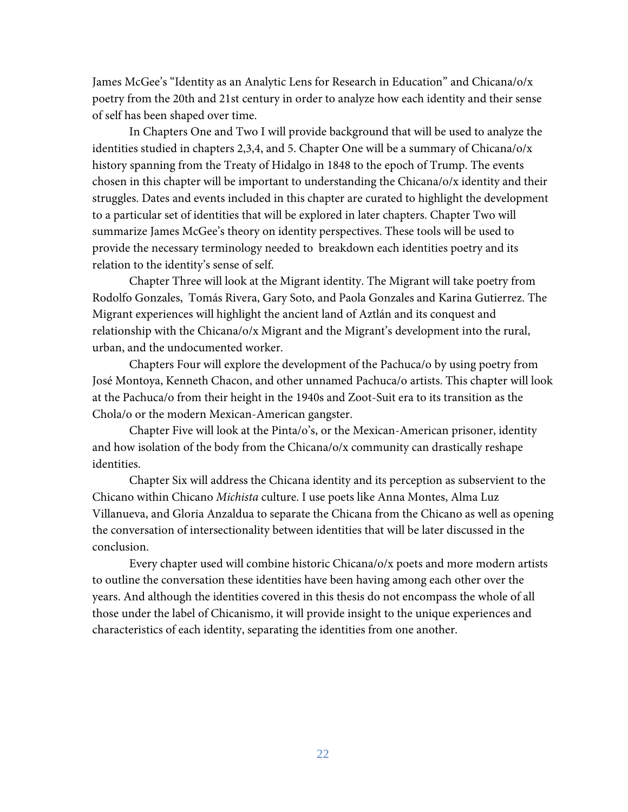James McGee's "Identity as an Analytic Lens for Research in Education" and Chicana/o/x poetry from the 20th and 21st century in order to analyze how each identity and their sense of self has been shaped over time.

In Chapters One and Two I will provide background that will be used to analyze the identities studied in chapters 2,3,4, and 5. Chapter One will be a summary of Chicana/o/x history spanning from the Treaty of Hidalgo in 1848 to the epoch of Trump. The events chosen in this chapter will be important to understanding the Chicana/o/x identity and their struggles. Dates and events included in this chapter are curated to highlight the development to a particular set of identities that will be explored in later chapters. Chapter Two will summarize James McGee's theory on identity perspectives. These tools will be used to provide the necessary terminology needed to breakdown each identities poetry and its relation to the identity's sense of self.

Chapter Three will look at the Migrant identity. The Migrant will take poetry from Rodolfo Gonzales, Tomás Rivera, Gary Soto, and Paola Gonzales and Karina Gutierrez. The Migrant experiences will highlight the ancient land of Aztlán and its conquest and relationship with the Chicana/o/x Migrant and the Migrant's development into the rural, urban, and the undocumented worker.

Chapters Four will explore the development of the Pachuca/o by using poetry from José Montoya, Kenneth Chacon, and other unnamed Pachuca/o artists. This chapter will look at the Pachuca/o from their height in the 1940s and Zoot-Suit era to its transition as the Chola/o or the modern Mexican-American gangster.

Chapter Five will look at the Pinta/o's, or the Mexican-American prisoner, identity and how isolation of the body from the Chicana/o/x community can drastically reshape identities.

Chapter Six will address the Chicana identity and its perception as subservient to the Chicano within Chicano *Michista* culture. I use poets like Anna Montes, Alma Luz Villanueva, and Gloria Anzaldua to separate the Chicana from the Chicano as well as opening the conversation of intersectionality between identities that will be later discussed in the conclusion.

Every chapter used will combine historic Chicana/o/x poets and more modern artists to outline the conversation these identities have been having among each other over the years. And although the identities covered in this thesis do not encompass the whole of all those under the label of Chicanismo, it will provide insight to the unique experiences and characteristics of each identity, separating the identities from one another.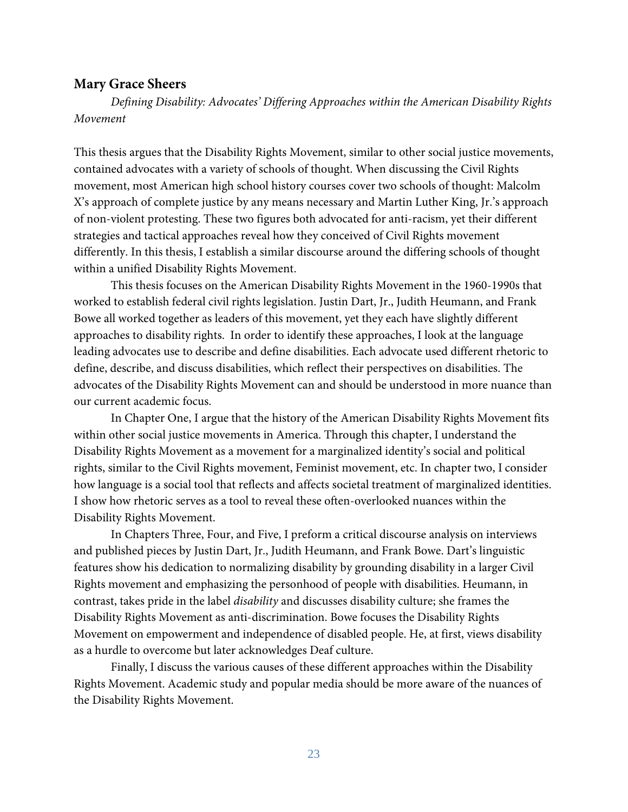# **Mary Grace Sheers**

*Defining Disability: Advocates' Differing Approaches within the American Disability Rights Movement* 

This thesis argues that the Disability Rights Movement, similar to other social justice movements, contained advocates with a variety of schools of thought. When discussing the Civil Rights movement, most American high school history courses cover two schools of thought: Malcolm X's approach of complete justice by any means necessary and Martin Luther King, Jr.'s approach of non-violent protesting. These two figures both advocated for anti-racism, yet their different strategies and tactical approaches reveal how they conceived of Civil Rights movement differently. In this thesis, I establish a similar discourse around the differing schools of thought within a unified Disability Rights Movement.

This thesis focuses on the American Disability Rights Movement in the 1960-1990s that worked to establish federal civil rights legislation. Justin Dart, Jr., Judith Heumann, and Frank Bowe all worked together as leaders of this movement, yet they each have slightly different approaches to disability rights. In order to identify these approaches, I look at the language leading advocates use to describe and define disabilities. Each advocate used different rhetoric to define, describe, and discuss disabilities, which reflect their perspectives on disabilities. The advocates of the Disability Rights Movement can and should be understood in more nuance than our current academic focus.

In Chapter One, I argue that the history of the American Disability Rights Movement fits within other social justice movements in America. Through this chapter, I understand the Disability Rights Movement as a movement for a marginalized identity's social and political rights, similar to the Civil Rights movement, Feminist movement, etc. In chapter two, I consider how language is a social tool that reflects and affects societal treatment of marginalized identities. I show how rhetoric serves as a tool to reveal these often-overlooked nuances within the Disability Rights Movement.

In Chapters Three, Four, and Five, I preform a critical discourse analysis on interviews and published pieces by Justin Dart, Jr., Judith Heumann, and Frank Bowe. Dart's linguistic features show his dedication to normalizing disability by grounding disability in a larger Civil Rights movement and emphasizing the personhood of people with disabilities. Heumann, in contrast, takes pride in the label *disability* and discusses disability culture; she frames the Disability Rights Movement as anti-discrimination. Bowe focuses the Disability Rights Movement on empowerment and independence of disabled people. He, at first, views disability as a hurdle to overcome but later acknowledges Deaf culture.

Finally, I discuss the various causes of these different approaches within the Disability Rights Movement. Academic study and popular media should be more aware of the nuances of the Disability Rights Movement.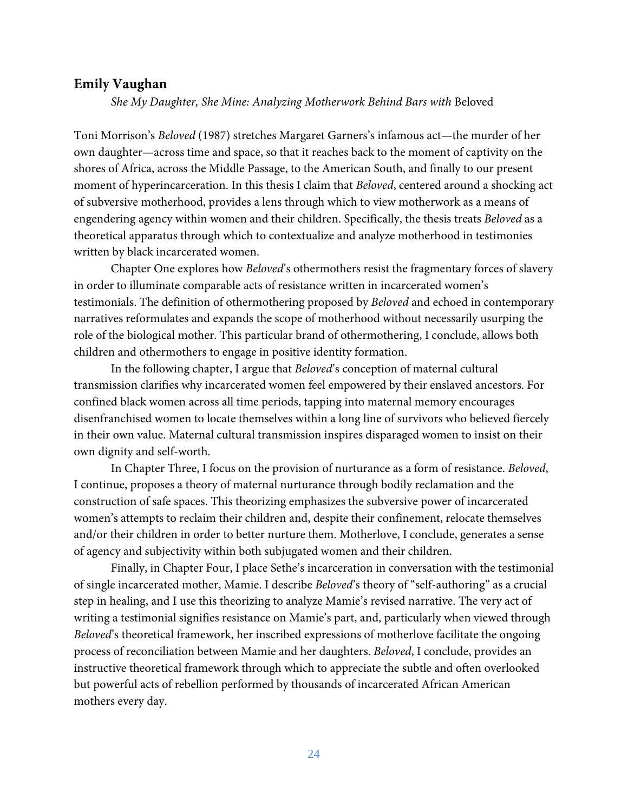# **Emily Vaughan**

*She My Daughter, She Mine: Analyzing Motherwork Behind Bars with* Beloved

Toni Morrison's *Beloved* (1987) stretches Margaret Garners's infamous act—the murder of her own daughter—across time and space, so that it reaches back to the moment of captivity on the shores of Africa, across the Middle Passage, to the American South, and finally to our present moment of hyperincarceration. In this thesis I claim that *Beloved*, centered around a shocking act of subversive motherhood, provides a lens through which to view motherwork as a means of engendering agency within women and their children. Specifically, the thesis treats *Beloved* as a theoretical apparatus through which to contextualize and analyze motherhood in testimonies written by black incarcerated women.

Chapter One explores how *Beloved*'s othermothers resist the fragmentary forces of slavery in order to illuminate comparable acts of resistance written in incarcerated women's testimonials. The definition of othermothering proposed by *Beloved* and echoed in contemporary narratives reformulates and expands the scope of motherhood without necessarily usurping the role of the biological mother. This particular brand of othermothering, I conclude, allows both children and othermothers to engage in positive identity formation.

In the following chapter, I argue that *Beloved*'s conception of maternal cultural transmission clarifies why incarcerated women feel empowered by their enslaved ancestors. For confined black women across all time periods, tapping into maternal memory encourages disenfranchised women to locate themselves within a long line of survivors who believed fiercely in their own value. Maternal cultural transmission inspires disparaged women to insist on their own dignity and self-worth.

In Chapter Three, I focus on the provision of nurturance as a form of resistance. *Beloved*, I continue, proposes a theory of maternal nurturance through bodily reclamation and the construction of safe spaces. This theorizing emphasizes the subversive power of incarcerated women's attempts to reclaim their children and, despite their confinement, relocate themselves and/or their children in order to better nurture them. Motherlove, I conclude, generates a sense of agency and subjectivity within both subjugated women and their children.

Finally, in Chapter Four, I place Sethe's incarceration in conversation with the testimonial of single incarcerated mother, Mamie. I describe *Beloved*'s theory of "self-authoring" as a crucial step in healing, and I use this theorizing to analyze Mamie's revised narrative. The very act of writing a testimonial signifies resistance on Mamie's part, and, particularly when viewed through *Beloved*'s theoretical framework, her inscribed expressions of motherlove facilitate the ongoing process of reconciliation between Mamie and her daughters. *Beloved*, I conclude, provides an instructive theoretical framework through which to appreciate the subtle and often overlooked but powerful acts of rebellion performed by thousands of incarcerated African American mothers every day.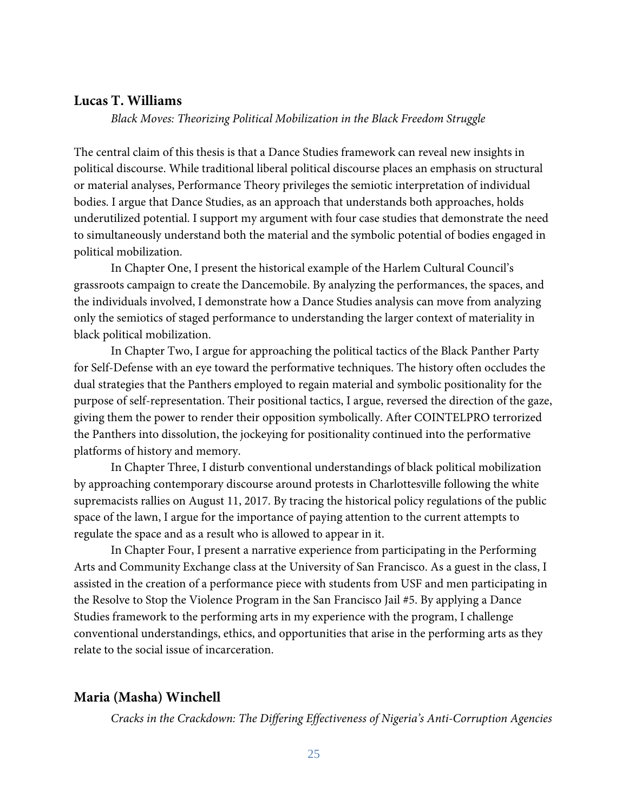#### **Lucas T. Williams**

*Black Moves: Theorizing Political Mobilization in the Black Freedom Struggle*

The central claim of this thesis is that a Dance Studies framework can reveal new insights in political discourse. While traditional liberal political discourse places an emphasis on structural or material analyses, Performance Theory privileges the semiotic interpretation of individual bodies. I argue that Dance Studies, as an approach that understands both approaches, holds underutilized potential. I support my argument with four case studies that demonstrate the need to simultaneously understand both the material and the symbolic potential of bodies engaged in political mobilization.

In Chapter One, I present the historical example of the Harlem Cultural Council's grassroots campaign to create the Dancemobile. By analyzing the performances, the spaces, and the individuals involved, I demonstrate how a Dance Studies analysis can move from analyzing only the semiotics of staged performance to understanding the larger context of materiality in black political mobilization.

In Chapter Two, I argue for approaching the political tactics of the Black Panther Party for Self-Defense with an eye toward the performative techniques. The history often occludes the dual strategies that the Panthers employed to regain material and symbolic positionality for the purpose of self-representation. Their positional tactics, I argue, reversed the direction of the gaze, giving them the power to render their opposition symbolically. After COINTELPRO terrorized the Panthers into dissolution, the jockeying for positionality continued into the performative platforms of history and memory.

In Chapter Three, I disturb conventional understandings of black political mobilization by approaching contemporary discourse around protests in Charlottesville following the white supremacists rallies on August 11, 2017. By tracing the historical policy regulations of the public space of the lawn, I argue for the importance of paying attention to the current attempts to regulate the space and as a result who is allowed to appear in it.

In Chapter Four, I present a narrative experience from participating in the Performing Arts and Community Exchange class at the University of San Francisco. As a guest in the class, I assisted in the creation of a performance piece with students from USF and men participating in the Resolve to Stop the Violence Program in the San Francisco Jail #5. By applying a Dance Studies framework to the performing arts in my experience with the program, I challenge conventional understandings, ethics, and opportunities that arise in the performing arts as they relate to the social issue of incarceration.

# **Maria (Masha) Winchell**

*Cracks in the Crackdown: The Differing Effectiveness of Nigeria's Anti-Corruption Agencies*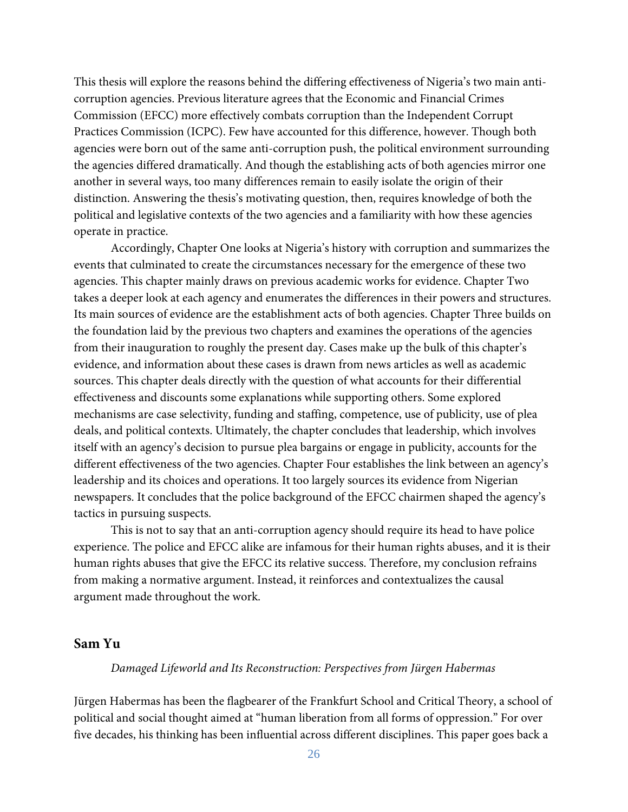This thesis will explore the reasons behind the differing effectiveness of Nigeria's two main anticorruption agencies. Previous literature agrees that the Economic and Financial Crimes Commission (EFCC) more effectively combats corruption than the Independent Corrupt Practices Commission (ICPC). Few have accounted for this difference, however. Though both agencies were born out of the same anti-corruption push, the political environment surrounding the agencies differed dramatically. And though the establishing acts of both agencies mirror one another in several ways, too many differences remain to easily isolate the origin of their distinction. Answering the thesis's motivating question, then, requires knowledge of both the political and legislative contexts of the two agencies and a familiarity with how these agencies operate in practice.

Accordingly, Chapter One looks at Nigeria's history with corruption and summarizes the events that culminated to create the circumstances necessary for the emergence of these two agencies. This chapter mainly draws on previous academic works for evidence. Chapter Two takes a deeper look at each agency and enumerates the differences in their powers and structures. Its main sources of evidence are the establishment acts of both agencies. Chapter Three builds on the foundation laid by the previous two chapters and examines the operations of the agencies from their inauguration to roughly the present day. Cases make up the bulk of this chapter's evidence, and information about these cases is drawn from news articles as well as academic sources. This chapter deals directly with the question of what accounts for their differential effectiveness and discounts some explanations while supporting others. Some explored mechanisms are case selectivity, funding and staffing, competence, use of publicity, use of plea deals, and political contexts. Ultimately, the chapter concludes that leadership, which involves itself with an agency's decision to pursue plea bargains or engage in publicity, accounts for the different effectiveness of the two agencies. Chapter Four establishes the link between an agency's leadership and its choices and operations. It too largely sources its evidence from Nigerian newspapers. It concludes that the police background of the EFCC chairmen shaped the agency's tactics in pursuing suspects.

This is not to say that an anti-corruption agency should require its head to have police experience. The police and EFCC alike are infamous for their human rights abuses, and it is their human rights abuses that give the EFCC its relative success. Therefore, my conclusion refrains from making a normative argument. Instead, it reinforces and contextualizes the causal argument made throughout the work.

# **Sam Yu**

#### *Damaged Lifeworld and Its Reconstruction: Perspectives from Jürgen Habermas*

Jürgen Habermas has been the flagbearer of the Frankfurt School and Critical Theory, a school of political and social thought aimed at "human liberation from all forms of oppression." For over five decades, his thinking has been influential across different disciplines. This paper goes back a